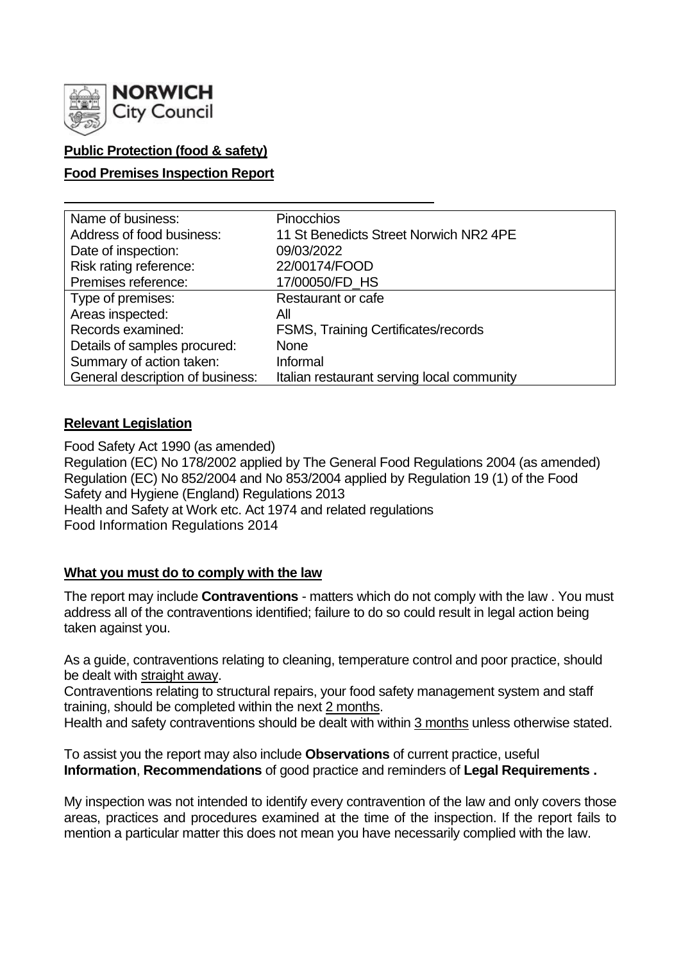

## **Public Protection (food & safety)**

### **Food Premises Inspection Report**

| Name of business:                | <b>Pinocchios</b>                          |
|----------------------------------|--------------------------------------------|
| Address of food business:        | 11 St Benedicts Street Norwich NR2 4PE     |
| Date of inspection:              | 09/03/2022                                 |
| Risk rating reference:           | 22/00174/FOOD                              |
| Premises reference:              | 17/00050/FD HS                             |
| Type of premises:                | <b>Restaurant or cafe</b>                  |
| Areas inspected:                 | All                                        |
| Records examined:                | FSMS, Training Certificates/records        |
| Details of samples procured:     | <b>None</b>                                |
| Summary of action taken:         | Informal                                   |
| General description of business: | Italian restaurant serving local community |

#### **Relevant Legislation**

Food Safety Act 1990 (as amended) Regulation (EC) No 178/2002 applied by The General Food Regulations 2004 (as amended) Regulation (EC) No 852/2004 and No 853/2004 applied by Regulation 19 (1) of the Food Safety and Hygiene (England) Regulations 2013 Health and Safety at Work etc. Act 1974 and related regulations Food Information Regulations 2014

#### **What you must do to comply with the law**

The report may include **Contraventions** - matters which do not comply with the law . You must address all of the contraventions identified; failure to do so could result in legal action being taken against you.

As a guide, contraventions relating to cleaning, temperature control and poor practice, should be dealt with straight away.

Contraventions relating to structural repairs, your food safety management system and staff training, should be completed within the next 2 months.

Health and safety contraventions should be dealt with within 3 months unless otherwise stated.

To assist you the report may also include **Observations** of current practice, useful **Information**, **Recommendations** of good practice and reminders of **Legal Requirements .**

My inspection was not intended to identify every contravention of the law and only covers those areas, practices and procedures examined at the time of the inspection. If the report fails to mention a particular matter this does not mean you have necessarily complied with the law.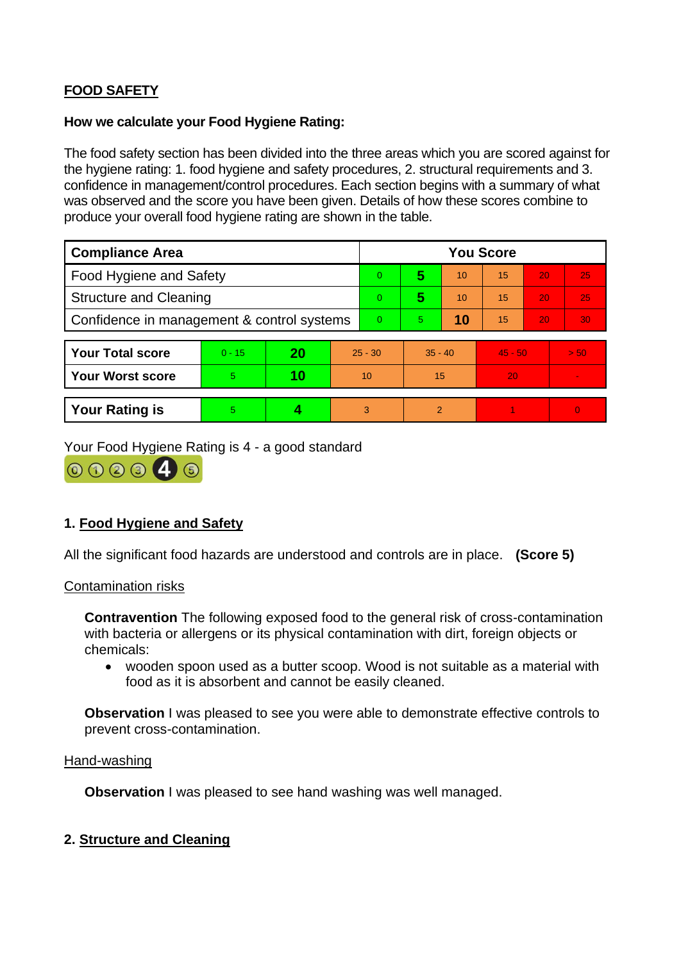# **FOOD SAFETY**

#### **How we calculate your Food Hygiene Rating:**

The food safety section has been divided into the three areas which you are scored against for the hygiene rating: 1. food hygiene and safety procedures, 2. structural requirements and 3. confidence in management/control procedures. Each section begins with a summary of what was observed and the score you have been given. Details of how these scores combine to produce your overall food hygiene rating are shown in the table.

| <b>Compliance Area</b>                     |          |    |           | <b>You Score</b> |           |    |           |    |      |  |  |
|--------------------------------------------|----------|----|-----------|------------------|-----------|----|-----------|----|------|--|--|
| Food Hygiene and Safety                    |          |    |           | 0                | 5         | 10 | 15        | 20 | 25   |  |  |
| <b>Structure and Cleaning</b>              |          |    |           | 0                | 5         | 10 | 15        | 20 | 25   |  |  |
| Confidence in management & control systems |          |    |           | 0                | 5.        | 10 | 15        | 20 | 30   |  |  |
|                                            |          |    |           |                  |           |    |           |    |      |  |  |
| <b>Your Total score</b>                    | $0 - 15$ | 20 | $25 - 30$ |                  | $35 - 40$ |    | $45 - 50$ |    | > 50 |  |  |
| <b>Your Worst score</b>                    | 5        | 10 | 10        |                  | 15        |    | 20        |    |      |  |  |
|                                            |          |    |           |                  |           |    |           |    |      |  |  |
| <b>Your Rating is</b>                      | 5        |    |           | 3                | 2         |    |           |    | 0    |  |  |

Your Food Hygiene Rating is 4 - a good standard



### **1. Food Hygiene and Safety**

All the significant food hazards are understood and controls are in place. **(Score 5)**

#### Contamination risks

**Contravention** The following exposed food to the general risk of cross-contamination with bacteria or allergens or its physical contamination with dirt, foreign objects or chemicals:

• wooden spoon used as a butter scoop. Wood is not suitable as a material with food as it is absorbent and cannot be easily cleaned.

**Observation** I was pleased to see you were able to demonstrate effective controls to prevent cross-contamination.

#### Hand-washing

**Observation** I was pleased to see hand washing was well managed.

#### **2. Structure and Cleaning**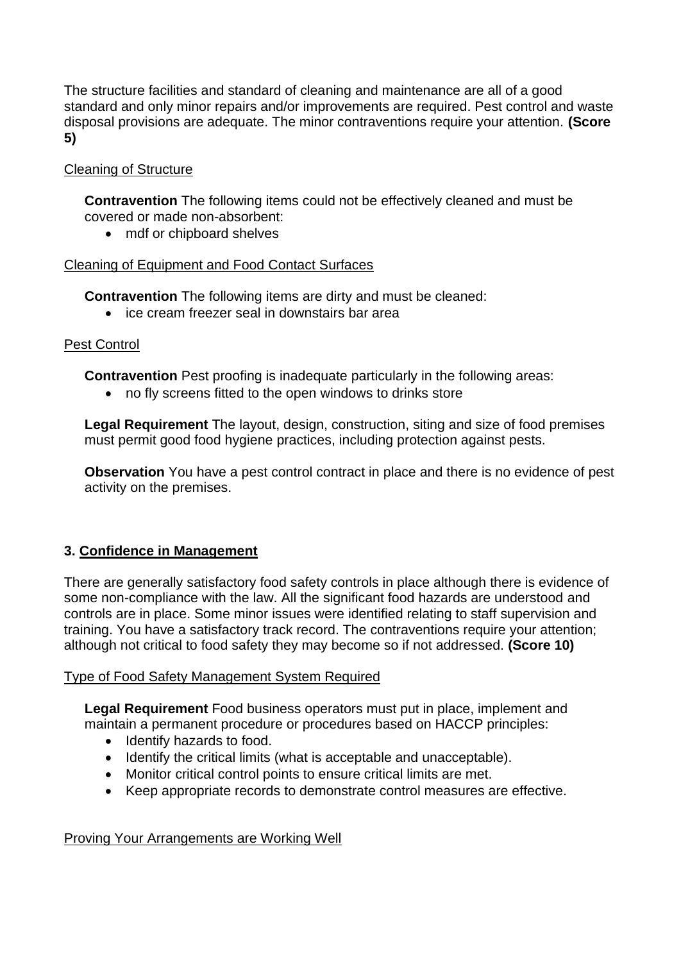The structure facilities and standard of cleaning and maintenance are all of a good standard and only minor repairs and/or improvements are required. Pest control and waste disposal provisions are adequate. The minor contraventions require your attention. **(Score 5)**

### Cleaning of Structure

**Contravention** The following items could not be effectively cleaned and must be covered or made non-absorbent:

• mdf or chipboard shelves

#### Cleaning of Equipment and Food Contact Surfaces

**Contravention** The following items are dirty and must be cleaned:

• ice cream freezer seal in downstairs bar area

### Pest Control

**Contravention** Pest proofing is inadequate particularly in the following areas:

• no fly screens fitted to the open windows to drinks store

**Legal Requirement** The layout, design, construction, siting and size of food premises must permit good food hygiene practices, including protection against pests.

**Observation** You have a pest control contract in place and there is no evidence of pest activity on the premises.

### **3. Confidence in Management**

There are generally satisfactory food safety controls in place although there is evidence of some non-compliance with the law. All the significant food hazards are understood and controls are in place. Some minor issues were identified relating to staff supervision and training. You have a satisfactory track record. The contraventions require your attention; although not critical to food safety they may become so if not addressed. **(Score 10)**

#### Type of Food Safety Management System Required

**Legal Requirement** Food business operators must put in place, implement and maintain a permanent procedure or procedures based on HACCP principles:

- Identify hazards to food.
- Identify the critical limits (what is acceptable and unacceptable).
- Monitor critical control points to ensure critical limits are met.
- Keep appropriate records to demonstrate control measures are effective.

#### Proving Your Arrangements are Working Well